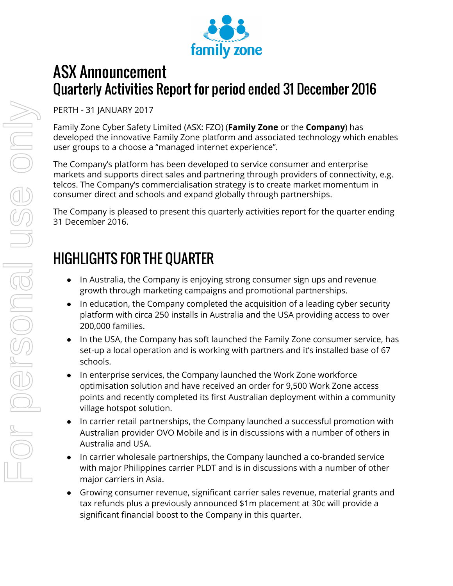

## ASX Announcement Quarterly Activities Report for period ended 31 December 2016

PERTH - 31 JANUARY 2017

Family Zone Cyber Safety Limited (ASX: FZO) (**Family Zone** or the **Company**) has developed the innovative Family Zone platform and associated technology which enables user groups to a choose a "managed internet experience".

The Company's platform has been developed to service consumer and enterprise markets and supports direct sales and partnering through providers of connectivity, e.g. telcos. The Company's commercialisation strategy is to create market momentum in consumer direct and schools and expand globally through partnerships.

The Company is pleased to present this quarterly activities report for the quarter ending 31 December 2016.

# HIGHLIGHTS FOR THE QUARTER

- In Australia, the Company is enjoying strong consumer sign ups and revenue growth through marketing campaigns and promotional partnerships.
- In education, the Company completed the acquisition of a leading cyber security platform with circa 250 installs in Australia and the USA providing access to over 200,000 families.
- In the USA, the Company has soft launched the Family Zone consumer service, has set-up a local operation and is working with partners and it's installed base of 67 schools.
- In enterprise services, the Company launched the Work Zone workforce optimisation solution and have received an order for 9,500 Work Zone access points and recently completed its first Australian deployment within a community village hotspot solution.
- In carrier retail partnerships, the Company launched a successful promotion with Australian provider OVO Mobile and is in discussions with a number of others in Australia and USA.
- In carrier wholesale partnerships, the Company launched a co-branded service with major Philippines carrier PLDT and is in discussions with a number of other major carriers in Asia.
- Growing consumer revenue, significant carrier sales revenue, material grants and tax refunds plus a previously announced \$1m placement at 30c will provide a significant financial boost to the Company in this quarter.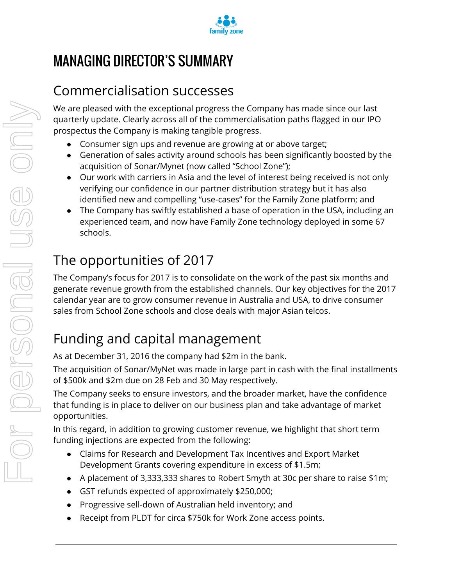

# MANAGING DIRECTOR'S SUMMARY

## Commercialisation successes

We are pleased with the exceptional progress the Company has made since our last quarterly update. Clearly across all of the commercialisation paths flagged in our IPO prospectus the Company is making tangible progress.

- Consumer sign ups and revenue are growing at or above target;
- Generation of sales activity around schools has been significantly boosted by the acquisition of Sonar/Mynet (now called "School Zone");
- Our work with carriers in Asia and the level of interest being received is not only verifying our confidence in our partner distribution strategy but it has also identified new and compelling "use-cases" for the Family Zone platform; and
- The Company has swiftly established a base of operation in the USA, including an experienced team, and now have Family Zone technology deployed in some 67 schools.

# The opportunities of 2017

The Company's focus for 2017 is to consolidate on the work of the past six months and generate revenue growth from the established channels. Our key objectives for the 2017 calendar year are to grow consumer revenue in Australia and USA, to drive consumer sales from School Zone schools and close deals with major Asian telcos.

# Funding and capital management

As at December 31, 2016 the company had \$2m in the bank.

The acquisition of Sonar/MyNet was made in large part in cash with the final installments of \$500k and \$2m due on 28 Feb and 30 May respectively.

The Company seeks to ensure investors, and the broader market, have the confidence that funding is in place to deliver on our business plan and take advantage of market opportunities.

In this regard, in addition to growing customer revenue, we highlight that short term funding injections are expected from the following:

- Claims for Research and Development Tax Incentives and Export Market Development Grants covering expenditure in excess of \$1.5m;
- A placement of 3,333,333 shares to Robert Smyth at 30c per share to raise \$1m;
- GST refunds expected of approximately \$250,000;
- Progressive sell-down of Australian held inventory; and
- Receipt from PLDT for circa \$750k for Work Zone access points.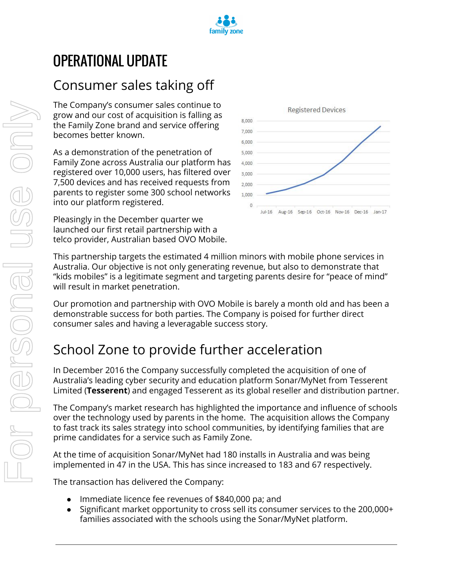

# OPERATIONAL UPDATE

## Consumer sales taking off

The Company's consumer sales continue to grow and our cost of acquisition is falling as the Family Zone brand and service offering becomes better known.

As a demonstration of the penetration of Family Zone across Australia our platform has registered over 10,000 users, has filtered over 7,500 devices and has received requests from parents to register some 300 school networks into our platform registered.

Pleasingly in the December quarter we launched our first retail partnership with a telco provider, Australian based OVO Mobile.



This partnership targets the estimated 4 million minors with mobile phone services in Australia. Our objective is not only generating revenue, but also to demonstrate that "kids mobiles" is a legitimate segment and targeting parents desire for "peace of mind" will result in market penetration.

Our promotion and partnership with OVO Mobile is barely a month old and has been a demonstrable success for both parties. The Company is poised for further direct consumer sales and having a leveragable success story.

## School Zone to provide further acceleration

In December 2016 the Company successfully completed the acquisition of one of Australia's leading cyber security and education platform Sonar/MyNet from Tesserent Limited (**Tesserent**) and engaged Tesserent as its global reseller and distribution partner.

The Company's market research has highlighted the importance and influence of schools over the technology used by parents in the home. The acquisition allows the Company to fast track its sales strategy into school communities, by identifying families that are prime candidates for a service such as Family Zone.

At the time of acquisition Sonar/MyNet had 180 installs in Australia and was being implemented in 47 in the USA. This has since increased to 183 and 67 respectively.

The transaction has delivered the Company:

- Immediate licence fee revenues of \$840,000 pa; and
- Significant market opportunity to cross sell its consumer services to the 200,000+ families associated with the schools using the Sonar/MyNet platform.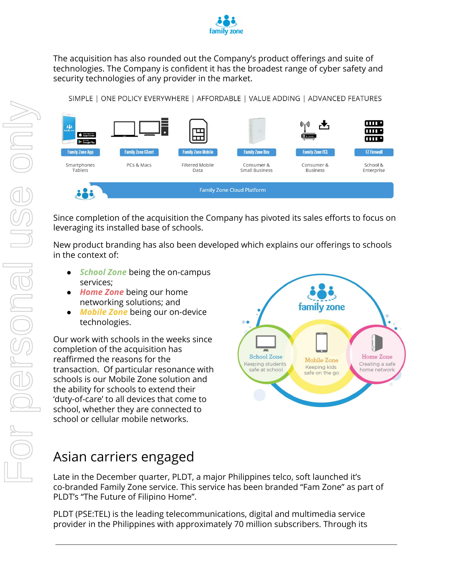

The acquisition has also rounded out the Company's product offerings and suite of technologies. The Company is confident it has the broadest range of cyber safety and security technologies of any provider in the market.

SIMPLE | ONE POLICY EVERYWHERE | AFFORDABLE | VALUE ADDING | ADVANCED FEATURES



Since completion of the acquisition the Company has pivoted its sales efforts to focus on leveraging its installed base of schools.

New product branding has also been developed which explains our offerings to schools in the context of:

- services;
- *Home Zone* being our home networking solutions; and
- *Mobile Zone* being our on-device technologies.

**Example 19 The Context of:**<br> **Burge Cone being the on-campus services;**<br> **Burge Zone being** our home<br> **Burge Zone** being our on-device<br> **CONE ANDRE ZONE DEADER SERVIGE 2018**<br>
CONE WORK with schools in the weeks since<br>
com Our work with schools in the weeks since completion of the acquisition has reaffirmed the reasons for the transaction. Of particular resonance with schools is our Mobile Zone solution and the ability for schools to extend their 'duty-of-care' to all devices that come to school, whether they are connected to school or cellular mobile networks.



## Asian carriers engaged

Late in the December quarter, PLDT, a major Philippines telco, soft launched it's co-branded Family Zone service. This service has been branded "Fam Zone" as part of PLDT's "The Future of Filipino Home".

PLDT (PSE:TEL) is the leading telecommunications, digital and multimedia service provider in the Philippines with approximately 70 million subscribers. Through its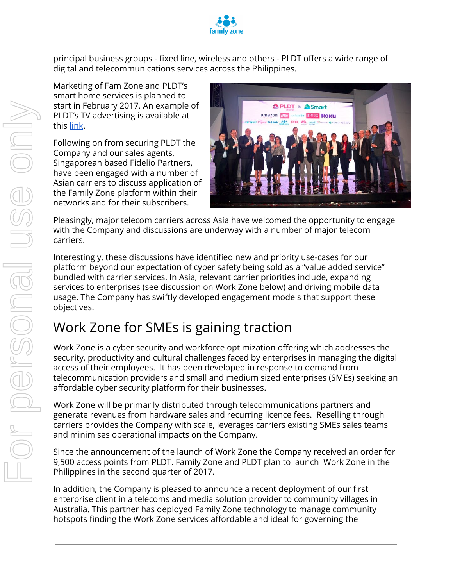

principal business groups - fixed line, wireless and others - PLDT offers a wide range of digital and telecommunications services across the Philippines.

Marketing of Fam Zone and PLDT's smart home services is planned to start in February 2017. An example of PLDT's TV advertising is available at this [link.](https://www.youtube.com/watch?v=45Azbw-lsiM)

Following on from securing PLDT the Company and our sales agents, Singaporean based Fidelio Partners, have been engaged with a number of Asian carriers to discuss application of the Family Zone platform within their networks and for their subscribers.



Pleasingly, major telecom carriers across Asia have welcomed the opportunity to engage with the Company and discussions are underway with a number of major telecom carriers.

Interestingly, these discussions have identified new and priority use-cases for our platform beyond our expectation of cyber safety being sold as a "value added service" bundled with carrier services. In Asia, relevant carrier priorities include, expanding services to enterprises (see discussion on Work Zone below) and driving mobile data usage. The Company has swiftly developed engagement models that support these objectives.

## Work Zone for SMEs is gaining traction

Work Zone is a cyber security and workforce optimization offering which addresses the security, productivity and cultural challenges faced by enterprises in managing the digital access of their employees. It has been developed in response to demand from telecommunication providers and small and medium sized enterprises (SMEs) seeking an affordable cyber security platform for their businesses.

Work Zone will be primarily distributed through telecommunications partners and generate revenues from hardware sales and recurring licence fees. Reselling through carriers provides the Company with scale, leverages carriers existing SMEs sales teams and minimises operational impacts on the Company.

Since the announcement of the launch of Work Zone the Company received an order for 9,500 access points from PLDT. Family Zone and PLDT plan to launch Work Zone in the Philippines in the second quarter of 2017.

In addition, the Company is pleased to announce a recent deployment of our first enterprise client in a telecoms and media solution provider to community villages in Australia. This partner has deployed Family Zone technology to manage community hotspots finding the Work Zone services affordable and ideal for governing the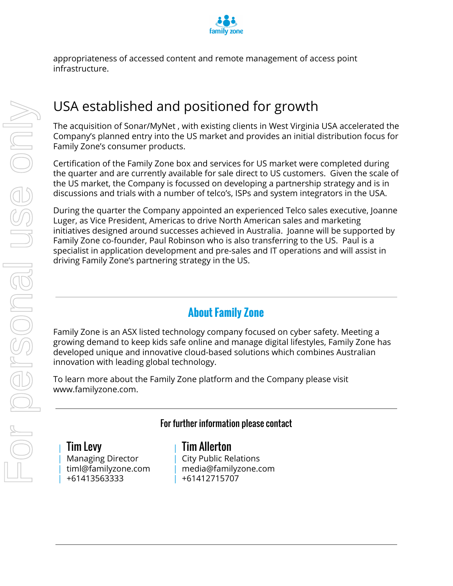

appropriateness of accessed content and remote management of access point infrastructure.

## USA established and positioned for growth

The acquisition of Sonar/MyNet , with existing clients in West Virginia USA accelerated the Company's planned entry into the US market and provides an initial distribution focus for Family Zone's consumer products.

Certification of the Family Zone box and services for US market were completed during the quarter and are currently available for sale direct to US customers. Given the scale of the US market, the Company is focussed on developing a partnership strategy and is in discussions and trials with a number of telco's, ISPs and system integrators in the USA.

During the quarter the Company appointed an experienced Telco sales executive, Joanne Luger, as Vice President, Americas to drive North American sales and marketing initiatives designed around successes achieved in Australia. Joanne will be supported by Family Zone co-founder, Paul Robinson who is also transferring to the US. Paul is a specialist in application development and pre-sales and IT operations and will assist in driving Family Zone's partnering strategy in the US.

## **About Family Zone**

Family Zone is an ASX listed technology company focused on cyber safety. Meeting a growing demand to keep kids safe online and manage digital lifestyles, Family Zone has developed unique and innovative cloud-based solutions which combines Australian innovation with leading global technology.

To learn more about the Family Zone platform and the Company please visit www.familyzone.com.

## For further information please contact

| Tim Levy | Managing Director | timl@familyzone.com | +61413563333

## | Tim Allerton

| City Public Relations | media@familyzone.com | +61412715707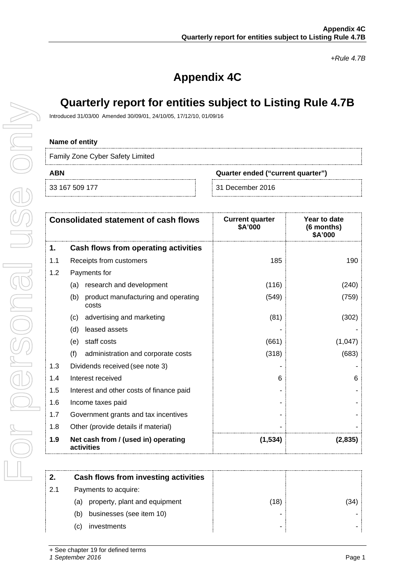*+Rule 4.7B*

## **Appendix 4C**

## **Quarterly report for entities subject to Listing Rule 4.7B**

Introduced 31/03/00 Amended 30/09/01, 24/10/05, 17/12/10, 01/09/16

#### **Name of entity**

Family Zone Cyber Safety Limited

**ABN Quarter ended ("current quarter")**

33 167 509 177 31 December 2016

|     | <b>Consolidated statement of cash flows</b>         | <b>Current quarter</b><br>\$A'000 | Year to date<br>(6 months)<br>\$A'000 |
|-----|-----------------------------------------------------|-----------------------------------|---------------------------------------|
| 1.  | Cash flows from operating activities                |                                   |                                       |
| 1.1 | Receipts from customers                             | 185                               | 190                                   |
| 1.2 | Payments for                                        |                                   |                                       |
|     | research and development<br>(a)                     | (116)                             | (240)                                 |
|     | product manufacturing and operating<br>(b)<br>costs | (549)                             | (759)                                 |
|     | advertising and marketing<br>(C)                    | (81)                              | (302)                                 |
|     | (d)<br>leased assets                                |                                   |                                       |
|     | staff costs<br>(e)                                  | (661)                             | (1,047)                               |
|     | (f)<br>administration and corporate costs           | (318)                             | (683)                                 |
| 1.3 | Dividends received (see note 3)                     |                                   |                                       |
| 1.4 | Interest received                                   | 6                                 | 6                                     |
| 1.5 | Interest and other costs of finance paid            |                                   |                                       |
| 1.6 | Income taxes paid                                   |                                   |                                       |
| 1.7 | Government grants and tax incentives                |                                   |                                       |
| 1.8 | Other (provide details if material)                 |                                   |                                       |
| 1.9 | Net cash from / (used in) operating<br>activities   | (1, 534)                          | (2,835)                               |

|     | Cash flows from investing activities |      |     |
|-----|--------------------------------------|------|-----|
| 2.1 | Payments to acquire:                 |      |     |
|     | property, plant and equipment<br>(a) | (18) | '34 |
|     | businesses (see item 10)<br>(b)      |      |     |
|     | investments<br>.C)                   | -    |     |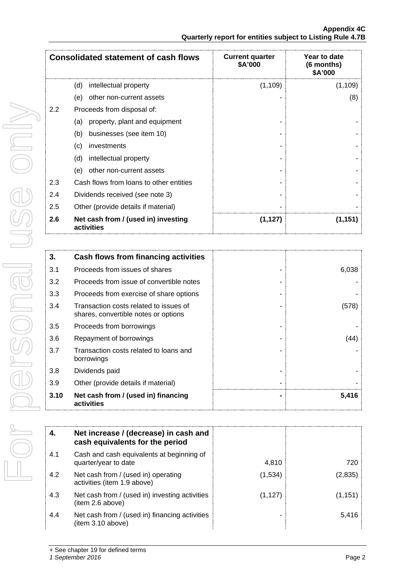| <b>Consolidated statement of cash flows</b> |                                                   | <b>Current quarter</b><br>\$A'000 | Year to date<br>(6 months)<br>\$A'000 |
|---------------------------------------------|---------------------------------------------------|-----------------------------------|---------------------------------------|
|                                             | intellectual property<br>(d)                      | (1, 109)                          | (1, 109)                              |
|                                             | (e)<br>other non-current assets                   |                                   | (8)                                   |
| 2.2                                         | Proceeds from disposal of:                        |                                   |                                       |
|                                             | property, plant and equipment<br>(a)              |                                   |                                       |
|                                             | businesses (see item 10)<br>(b)                   |                                   |                                       |
|                                             | investments<br>(c)                                |                                   |                                       |
|                                             | (d)<br>intellectual property                      |                                   |                                       |
|                                             | other non-current assets<br>(e)                   |                                   |                                       |
| 2.3                                         | Cash flows from loans to other entities           |                                   |                                       |
| 2.4                                         | Dividends received (see note 3)                   |                                   |                                       |
| 2.5                                         | Other (provide details if material)               |                                   |                                       |
| 2.6                                         | Net cash from / (used in) investing<br>activities | (1, 127)                          | (1, 151)                              |

| 3.   | <b>Cash flows from financing activities</b>                                    |       |
|------|--------------------------------------------------------------------------------|-------|
| 3.1  | Proceeds from issues of shares                                                 | 6,038 |
| 3.2  | Proceeds from issue of convertible notes                                       |       |
| 3.3  | Proceeds from exercise of share options                                        |       |
| 3.4  | Transaction costs related to issues of<br>shares, convertible notes or options |       |
| 3.5  | Proceeds from borrowings                                                       |       |
| 3.6  | Repayment of borrowings                                                        | (44)  |
| 3.7  | Transaction costs related to loans and<br>borrowings                           |       |
| 3.8  | Dividends paid                                                                 |       |
| 3.9  | Other (provide details if material)                                            |       |
| 3.10 | Net cash from / (used in) financing<br>activities                              | 5,416 |

|     | Net increase / (decrease) in cash and<br>cash equivalents for the period |          |          |
|-----|--------------------------------------------------------------------------|----------|----------|
| 4.1 | Cash and cash equivalents at beginning of<br>quarter/year to date        | 4,810    | 720      |
| 4.2 | Net cash from / (used in) operating<br>activities (item 1.9 above)       | (1,534)  | (2,835)  |
| 4.3 | Net cash from / (used in) investing activities<br>(item 2.6 above)       | (1, 127) | (1, 151) |
| 4.4 | Net cash from / (used in) financing activities<br>(item 3.10 above)      |          | 5,416    |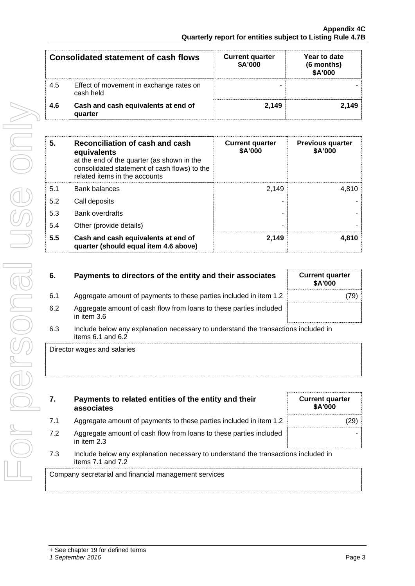| <b>Consolidated statement of cash flows</b> |                                                      | <b>Current quarter</b><br>\$A'000 | Year to date<br>(6 months)<br>\$A'000 |
|---------------------------------------------|------------------------------------------------------|-----------------------------------|---------------------------------------|
| 4.5                                         | Effect of movement in exchange rates on<br>cash held |                                   |                                       |
| 4.6                                         | Cash and cash equivalents at end of<br>quarter       | 2.149                             | 2.149                                 |

| 4.6 | Cash and cash equivalents at end of<br>quarter                                                                                                                                | 2,149                             | 2,149                              |
|-----|-------------------------------------------------------------------------------------------------------------------------------------------------------------------------------|-----------------------------------|------------------------------------|
| 5.  | Reconciliation of cash and cash<br>equivalents<br>at the end of the quarter (as shown in the<br>consolidated statement of cash flows) to the<br>related items in the accounts | <b>Current quarter</b><br>\$A'000 | <b>Previous quarter</b><br>\$A'000 |
| 5.1 | <b>Bank balances</b>                                                                                                                                                          | 2,149                             | 4,810                              |
| 5.2 | Call deposits                                                                                                                                                                 |                                   |                                    |
| 5.3 | <b>Bank overdrafts</b>                                                                                                                                                        |                                   |                                    |
| 5.4 | Other (provide details)                                                                                                                                                       |                                   |                                    |
| 5.5 | Cash and cash equivalents at end of<br>quarter (should equal item 4.6 above)                                                                                                  | 2,149                             | 4,810                              |
| 6.  | Payments to directors of the entity and their associates                                                                                                                      |                                   | <b>Current quarter</b><br>\$A'000  |
| 6.1 | Aggregate amount of payments to these parties included in item 1.2                                                                                                            |                                   | (79)                               |
| 6.2 | Aggregate amount of cash flow from loans to these parties included<br>in item 3.6                                                                                             |                                   |                                    |
| 6.3 | Include below any explanation necessary to understand the transactions included in<br>items 6.1 and 6.2                                                                       |                                   |                                    |
|     | Director wages and salaries                                                                                                                                                   |                                   |                                    |
| 7.  | Payments to related entities of the entity and their<br>associates                                                                                                            |                                   | <b>Current quarter</b><br>\$A'000  |
| 7.1 | Aggregate amount of payments to these parties included in item 1.2                                                                                                            |                                   | (29)                               |
| 7.2 | Aggregate amount of cash flow from loans to these parties included<br>in item 2.3                                                                                             |                                   |                                    |
| 7.3 | Include below any explanation necessary to understand the transactions included in<br>items 7.1 and 7.2                                                                       |                                   |                                    |
|     | Company secretarial and financial management services                                                                                                                         |                                   |                                    |

### **6.** Payments to directors of the entity and their association

- 6.1 Aggregate amount of payments to these parties included in item 1.
- 6.2 Aggregate amount of cash flow from loans to these parties in in item 3.6
- 6.3 Include below any explanation necessary to understand the transactions included in items 6.1 and 6.2

| 7.  | Payments to related entities of the entity and their<br>associates                                          | <b>Current quarter</b><br>\$A'000 |
|-----|-------------------------------------------------------------------------------------------------------------|-----------------------------------|
| 7.1 | Aggregate amount of payments to these parties included in item 1.2                                          |                                   |
| 7.2 | Aggregate amount of cash flow from loans to these parties included<br>in item $2.3$                         |                                   |
| 7.3 | Include below any explanation necessary to understand the transactions included in<br>items $7.1$ and $7.2$ |                                   |

| ates    | <b>Current quarter</b><br>\$A'000 |  |
|---------|-----------------------------------|--|
| tem 1.2 | (79)                              |  |
| าcluded |                                   |  |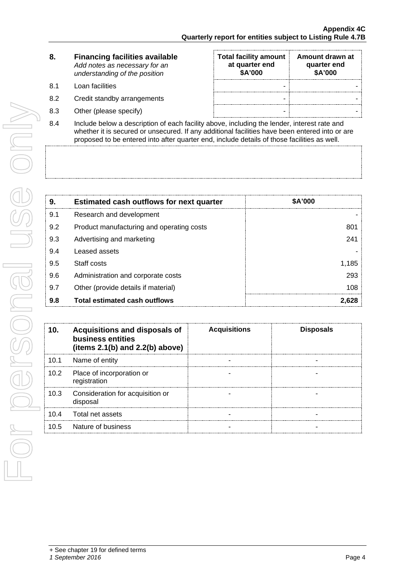| 8. | <b>Financing facilities available</b> |
|----|---------------------------------------|
|    | Add notes as necessary for an         |
|    | understanding of the position         |

- 
- 
- 
- **Total facility amount at quarter end \$A'000 Amount drawn at quarter end \$A'000** 8.1 Loan facilities - - 8.2 Credit standby arrangements and the standard standard standard standard standard standard standard standard standard standard standard standard standard standard standard standard standard standard standard standard st 8.3 Other (please specify) and the set of the set of the set of the set of the set of the set of the set of the set of the set of the set of the set of the set of the set of the set of the set of the set of the set of the
- 8.4 Include below a description of each facility above, including the lender, interest rate and whether it is secured or unsecured. If any additional facilities have been entered into or are proposed to be entered into after quarter end, include details of those facilities as well.

| 9.  | <b>Estimated cash outflows for next quarter</b> | \$A'000 |
|-----|-------------------------------------------------|---------|
| 9.1 | Research and development                        |         |
| 9.2 | Product manufacturing and operating costs       | 801     |
| 9.3 | Advertising and marketing                       | 241     |
| 9.4 | Leased assets                                   |         |
| 9.5 | Staff costs                                     | 1.185   |
| 9.6 | Administration and corporate costs              | 293     |
| 9.7 | Other (provide details if material)             | 108     |
| 9.8 | Total estimated cash outflows                   |         |

| 10.  | <b>Acquisitions and disposals of</b><br>business entities<br>(items $2.1(b)$ and $2.2(b)$ above) | <b>Acquisitions</b> | <b>Disposals</b> |
|------|--------------------------------------------------------------------------------------------------|---------------------|------------------|
| 10.1 | Name of entity                                                                                   |                     |                  |
|      | 10.2 Place of incorporation or<br>registration                                                   |                     |                  |
| 10.3 | Consideration for acquisition or<br>disposal                                                     |                     |                  |
|      | 10.4 Total net assets                                                                            |                     |                  |
| 10.5 | Nature of business                                                                               |                     |                  |